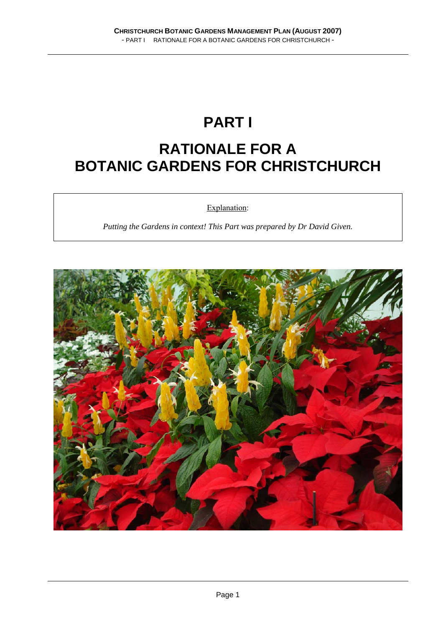## **PART I**

### **RATIONALE FOR A BOTANIC GARDENS FOR CHRISTCHURCH**

Explanation:

*Putting the Gardens in context! This Part was prepared by Dr David Given.* 

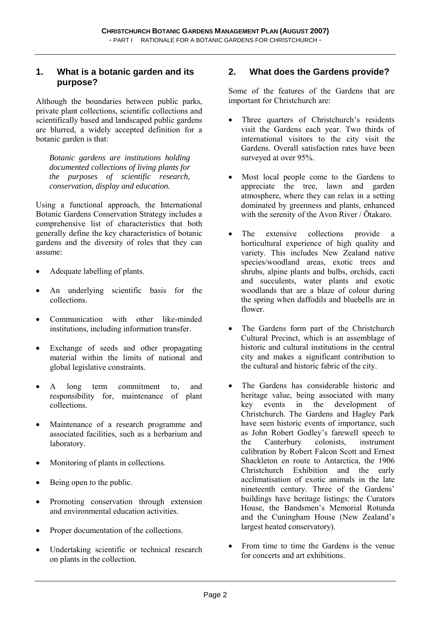#### **1. What is a botanic garden and its purpose?**

Although the boundaries between public parks, private plant collections, scientific collections and scientifically based and landscaped public gardens are blurred, a widely accepted definition for a botanic garden is that:

*Botanic gardens are institutions holding documented collections of living plants for the purposes of scientific research, conservation, display and education.* 

Using a functional approach, the International Botanic Gardens Conservation Strategy includes a comprehensive list of characteristics that both generally define the key characteristics of botanic gardens and the diversity of roles that they can assume:

- Adequate labelling of plants.
- An underlying scientific basis for the collections.
- Communication with other like-minded institutions, including information transfer.
- Exchange of seeds and other propagating material within the limits of national and global legislative constraints.
- A long term commitment to, and responsibility for, maintenance of plant collections.
- Maintenance of a research programme and associated facilities, such as a herbarium and laboratory.
- Monitoring of plants in collections.
- Being open to the public.
- Promoting conservation through extension and environmental education activities.
- Proper documentation of the collections.
- Undertaking scientific or technical research on plants in the collection.

#### **2. What does the Gardens provide?**

Some of the features of the Gardens that are important for Christchurch are:

- Three quarters of Christchurch's residents visit the Gardens each year. Two thirds of international visitors to the city visit the Gardens. Overall satisfaction rates have been surveyed at over 95%.
- Most local people come to the Gardens to appreciate the tree, lawn and garden atmosphere, where they can relax in a setting dominated by greenness and plants, enhanced with the serenity of the Avon River / Ōtakaro.
- The extensive collections provide a horticultural experience of high quality and variety. This includes New Zealand native species/woodland areas, exotic trees and shrubs, alpine plants and bulbs, orchids, cacti and succulents, water plants and exotic woodlands that are a blaze of colour during the spring when daffodils and bluebells are in flower.
- The Gardens form part of the Christchurch Cultural Precinct, which is an assemblage of historic and cultural institutions in the central city and makes a significant contribution to the cultural and historic fabric of the city.
- The Gardens has considerable historic and heritage value, being associated with many<br>key events in the development of key events in the development of Christchurch. The Gardens and Hagley Park have seen historic events of importance, such as John Robert Godley's farewell speech to the Canterbury colonists, instrument calibration by Robert Falcon Scott and Ernest Shackleton en route to Antarctica, the 1906 Christchurch Exhibition and the early acclimatisation of exotic animals in the late nineteenth century. Three of the Gardens' buildings have heritage listings: the Curators House, the Bandsmen's Memorial Rotunda and the Cuningham House (New Zealand's largest heated conservatory).
- From time to time the Gardens is the venue for concerts and art exhibitions.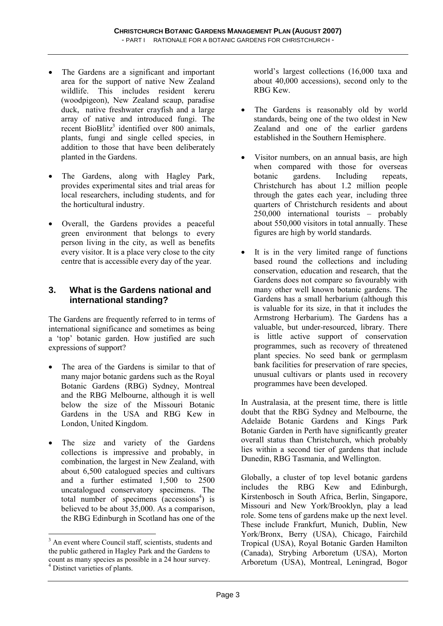- The Gardens are a significant and important area for the support of native New Zealand wildlife. This includes resident kereru (woodpigeon), New Zealand scaup, paradise duck, native freshwater crayfish and a large array of native and introduced fungi. The recent BioBlitz<sup>3</sup> identified over 800 animals, plants, fungi and single celled species, in addition to those that have been deliberately planted in the Gardens.
- The Gardens, along with Hagley Park, provides experimental sites and trial areas for local researchers, including students, and for the horticultural industry.
- Overall, the Gardens provides a peaceful green environment that belongs to every person living in the city, as well as benefits every visitor. It is a place very close to the city centre that is accessible every day of the year.

#### **3. What is the Gardens national and international standing?**

The Gardens are frequently referred to in terms of international significance and sometimes as being a 'top' botanic garden. How justified are such expressions of support?

- The area of the Gardens is similar to that of many major botanic gardens such as the Royal Botanic Gardens (RBG) Sydney, Montreal and the RBG Melbourne, although it is well below the size of the Missouri Botanic Gardens in the USA and RBG Kew in London, United Kingdom.
- The size and variety of the Gardens collections is impressive and probably, in combination, the largest in New Zealand, with about 6,500 catalogued species and cultivars and a further estimated 1,500 to 2500 uncatalogued conservatory specimens. The total number of specimens  $(\arccosions^4)$  is believed to be about 35,000. As a comparison, the RBG Edinburgh in Scotland has one of the

 $\overline{a}$ 

world's largest collections (16,000 taxa and about 40,000 accessions), second only to the RBG Kew.

- The Gardens is reasonably old by world standards, being one of the two oldest in New Zealand and one of the earlier gardens established in the Southern Hemisphere.
- Visitor numbers, on an annual basis, are high when compared with those for overseas botanic gardens. Including repeats, Christchurch has about 1.2 million people through the gates each year, including three quarters of Christchurch residents and about 250,000 international tourists – probably about 550,000 visitors in total annually. These figures are high by world standards.
- It is in the very limited range of functions based round the collections and including conservation, education and research, that the Gardens does not compare so favourably with many other well known botanic gardens. The Gardens has a small herbarium (although this is valuable for its size, in that it includes the Armstrong Herbarium). The Gardens has a valuable, but under-resourced, library. There is little active support of conservation programmes, such as recovery of threatened plant species. No seed bank or germplasm bank facilities for preservation of rare species, unusual cultivars or plants used in recovery programmes have been developed.

In Australasia, at the present time, there is little doubt that the RBG Sydney and Melbourne, the Adelaide Botanic Gardens and Kings Park Botanic Garden in Perth have significantly greater overall status than Christchurch, which probably lies within a second tier of gardens that include Dunedin, RBG Tasmania, and Wellington.

Globally, a cluster of top level botanic gardens includes the RBG Kew and Edinburgh, Kirstenbosch in South Africa, Berlin, Singapore, Missouri and New York/Brooklyn, play a lead role. Some tens of gardens make up the next level. These include Frankfurt, Munich, Dublin, New York/Bronx, Berry (USA), Chicago, Fairchild Tropical (USA), Royal Botanic Garden Hamilton (Canada), Strybing Arboretum (USA), Morton Arboretum (USA), Montreal, Leningrad, Bogor

<sup>&</sup>lt;sup>3</sup> An event where Council staff, scientists, students and the public gathered in Hagley Park and the Gardens to count as many species as possible in a 24 hour survey. 4 Distinct varieties of plants.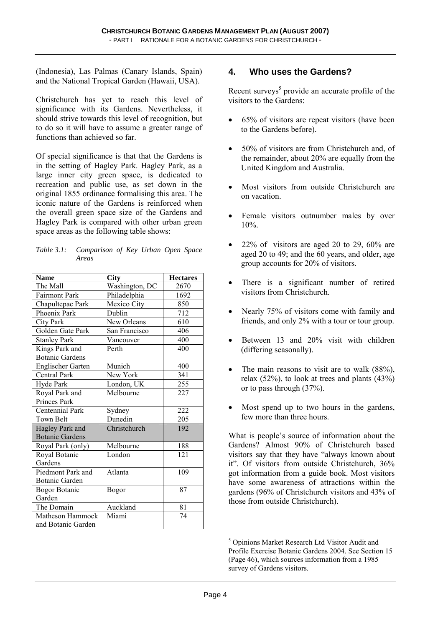(Indonesia), Las Palmas (Canary Islands, Spain) and the National Tropical Garden (Hawaii, USA).

Christchurch has yet to reach this level of significance with its Gardens. Nevertheless, it should strive towards this level of recognition, but to do so it will have to assume a greater range of functions than achieved so far.

Of special significance is that that the Gardens is in the setting of Hagley Park. Hagley Park, as a large inner city green space, is dedicated to recreation and public use, as set down in the original 1855 ordinance formalising this area. The iconic nature of the Gardens is reinforced when the overall green space size of the Gardens and Hagley Park is compared with other urban green space areas as the following table shows:

| Table 3.1: Comparison of Key Urban Open Space |  |  |  |
|-----------------------------------------------|--|--|--|
| Areas                                         |  |  |  |

| <b>Name</b>              | City           | <b>Hectares</b> |  |
|--------------------------|----------------|-----------------|--|
| The Mall                 | Washington, DC | 2670            |  |
| <b>Fairmont Park</b>     | Philadelphia   | 1692            |  |
| Chapultepac Park         | Mexico City    | 850             |  |
| Phoenix Park             | Dublin         | 712             |  |
| City Park                | New Orleans    | 610             |  |
| Golden Gate Park         | San Francisco  | 406             |  |
| <b>Stanley Park</b>      | Vancouver      | 400             |  |
| Kings Park and           | Perth          | 400             |  |
| <b>Botanic Gardens</b>   |                |                 |  |
| <b>Englischer Garten</b> | Munich         | 400             |  |
| <b>Central Park</b>      | New York       | 341             |  |
| Hyde Park                | London, UK     | 255             |  |
| Royal Park and           | Melbourne      | 227             |  |
| Princes Park             |                |                 |  |
| Centennial Park          | Sydney         | 222             |  |
| Town Belt                | Dunedin        | 205             |  |
| Hagley Park and          | Christchurch   | 192             |  |
| <b>Botanic Gardens</b>   |                |                 |  |
| Royal Park (only)        | Melbourne      | 188             |  |
| Royal Botanic            | London         | 121             |  |
| Gardens                  |                |                 |  |
| Piedmont Park and        | Atlanta        | 109             |  |
| <b>Botanic Garden</b>    |                |                 |  |
| <b>Bogor Botanic</b>     | Bogor          | 87              |  |
| Garden                   |                |                 |  |
| The Domain               | Auckland       | 81              |  |
| Matheson Hammock         | Miami          | 74              |  |
| and Botanic Garden       |                |                 |  |

#### **4. Who uses the Gardens?**

Recent surveys<sup>5</sup> provide an accurate profile of the visitors to the Gardens:

- 65% of visitors are repeat visitors (have been to the Gardens before).
- 50% of visitors are from Christchurch and, of the remainder, about 20% are equally from the United Kingdom and Australia.
- Most visitors from outside Christchurch are on vacation.
- Female visitors outnumber males by over 10%.
- $22\%$  of visitors are aged 20 to 29, 60% are aged 20 to 49; and the 60 years, and older, age group accounts for 20% of visitors.
- There is a significant number of retired visitors from Christchurch.
- Nearly 75% of visitors come with family and friends, and only 2% with a tour or tour group.
- Between 13 and 20% visit with children (differing seasonally).
- The main reasons to visit are to walk (88%), relax  $(52\%)$ , to look at trees and plants  $(43\%)$ or to pass through (37%).
- Most spend up to two hours in the gardens, few more than three hours.

What is people's source of information about the Gardens? Almost 90% of Christchurch based visitors say that they have "always known about it". Of visitors from outside Christchurch, 36% got information from a guide book. Most visitors have some awareness of attractions within the gardens (96% of Christchurch visitors and 43% of those from outside Christchurch).

 5 Opinions Market Research Ltd Visitor Audit and Profile Exercise Botanic Gardens 2004. See Section 15 (Page 46), which sources information from a 1985 survey of Gardens visitors.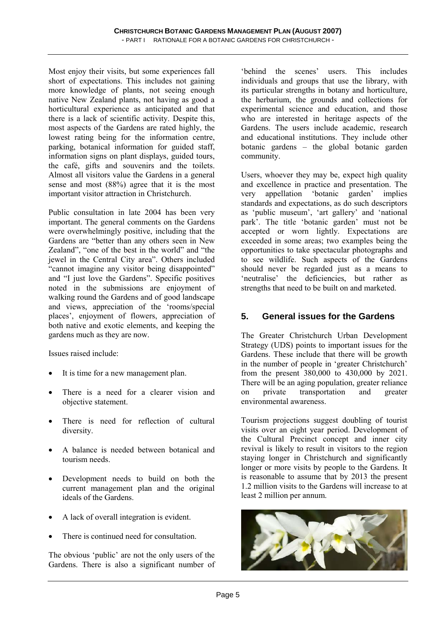Most enjoy their visits, but some experiences fall short of expectations. This includes not gaining more knowledge of plants, not seeing enough native New Zealand plants, not having as good a horticultural experience as anticipated and that there is a lack of scientific activity. Despite this, most aspects of the Gardens are rated highly, the lowest rating being for the information centre, parking, botanical information for guided staff, information signs on plant displays, guided tours, the café, gifts and souvenirs and the toilets. Almost all visitors value the Gardens in a general sense and most (88%) agree that it is the most important visitor attraction in Christchurch.

Public consultation in late 2004 has been very important. The general comments on the Gardens were overwhelmingly positive, including that the Gardens are "better than any others seen in New Zealand", "one of the best in the world" and "the jewel in the Central City area". Others included "cannot imagine any visitor being disappointed" and "I just love the Gardens". Specific positives noted in the submissions are enjoyment of walking round the Gardens and of good landscape and views, appreciation of the 'rooms/special places', enjoyment of flowers, appreciation of both native and exotic elements, and keeping the gardens much as they are now.

Issues raised include:

- It is time for a new management plan.
- There is a need for a clearer vision and objective statement.
- There is need for reflection of cultural diversity.
- A balance is needed between botanical and tourism needs.
- Development needs to build on both the current management plan and the original ideals of the Gardens.
- A lack of overall integration is evident.
- There is continued need for consultation.

The obvious 'public' are not the only users of the Gardens. There is also a significant number of

'behind the scenes' users. This includes individuals and groups that use the library, with its particular strengths in botany and horticulture, the herbarium, the grounds and collections for experimental science and education, and those who are interested in heritage aspects of the Gardens. The users include academic, research and educational institutions. They include other botanic gardens – the global botanic garden community.

Users, whoever they may be, expect high quality and excellence in practice and presentation. The very appellation 'botanic garden' implies standards and expectations, as do such descriptors as 'public museum', 'art gallery' and 'national park'. The title 'botanic garden' must not be accepted or worn lightly. Expectations are exceeded in some areas; two examples being the opportunities to take spectacular photographs and to see wildlife. Such aspects of the Gardens should never be regarded just as a means to 'neutralise' the deficiencies, but rather as strengths that need to be built on and marketed.

#### **5. General issues for the Gardens**

The Greater Christchurch Urban Development Strategy (UDS) points to important issues for the Gardens. These include that there will be growth in the number of people in 'greater Christchurch' from the present 380,000 to 430,000 by 2021. There will be an aging population, greater reliance on private transportation and greater environmental awareness.

Tourism projections suggest doubling of tourist visits over an eight year period. Development of the Cultural Precinct concept and inner city revival is likely to result in visitors to the region staying longer in Christchurch and significantly longer or more visits by people to the Gardens. It is reasonable to assume that by 2013 the present 1.2 million visits to the Gardens will increase to at least 2 million per annum.

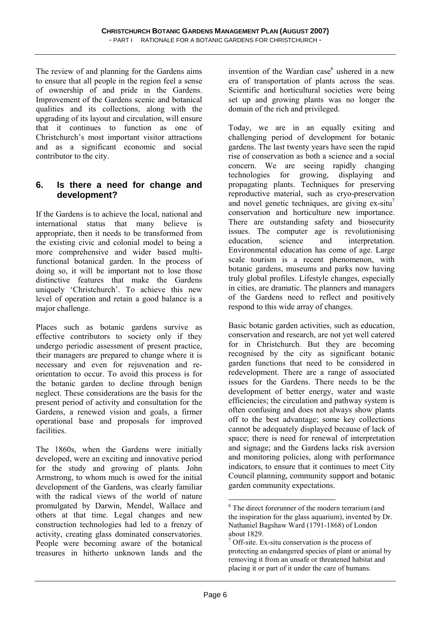The review of and planning for the Gardens aims to ensure that all people in the region feel a sense of ownership of and pride in the Gardens. Improvement of the Gardens scenic and botanical qualities and its collections, along with the upgrading of its layout and circulation, will ensure that it continues to function as one of Christchurch's most important visitor attractions and as a significant economic and social contributor to the city.

#### **6. Is there a need for change and development?**

If the Gardens is to achieve the local, national and international status that many believe is appropriate, then it needs to be transformed from the existing civic and colonial model to being a more comprehensive and wider based multifunctional botanical garden. In the process of doing so, it will be important not to lose those distinctive features that make the Gardens uniquely 'Christchurch'. To achieve this new level of operation and retain a good balance is a major challenge.

Places such as botanic gardens survive as effective contributors to society only if they undergo periodic assessment of present practice, their managers are prepared to change where it is necessary and even for rejuvenation and reorientation to occur. To avoid this process is for the botanic garden to decline through benign neglect. These considerations are the basis for the present period of activity and consultation for the Gardens, a renewed vision and goals, a firmer operational base and proposals for improved facilities.

The 1860s, when the Gardens were initially developed, were an exciting and innovative period for the study and growing of plants. John Armstrong, to whom much is owed for the initial development of the Gardens, was clearly familiar with the radical views of the world of nature promulgated by Darwin, Mendel, Wallace and others at that time. Legal changes and new construction technologies had led to a frenzy of activity, creating glass dominated conservatories. People were becoming aware of the botanical treasures in hitherto unknown lands and the

invention of the Wardian case<sup>6</sup> ushered in a new era of transportation of plants across the seas. Scientific and horticultural societies were being set up and growing plants was no longer the domain of the rich and privileged.

Today, we are in an equally exiting and challenging period of development for botanic gardens. The last twenty years have seen the rapid rise of conservation as both a science and a social concern. We are seeing rapidly changing technologies for growing, displaying and propagating plants. Techniques for preserving reproductive material, such as cryo-preservation and novel genetic techniques, are giving  $ex$ -situ<sup>7</sup> conservation and horticulture new importance. There are outstanding safety and biosecurity issues. The computer age is revolutionising education, science and interpretation. Environmental education has come of age. Large scale tourism is a recent phenomenon, with botanic gardens, museums and parks now having truly global profiles. Lifestyle changes, especially in cities, are dramatic. The planners and managers of the Gardens need to reflect and positively respond to this wide array of changes.

Basic botanic garden activities, such as education, conservation and research, are not yet well catered for in Christchurch. But they are becoming recognised by the city as significant botanic garden functions that need to be considered in redevelopment. There are a range of associated issues for the Gardens. There needs to be the development of better energy, water and waste efficiencies; the circulation and pathway system is often confusing and does not always show plants off to the best advantage; some key collections cannot be adequately displayed because of lack of space; there is need for renewal of interpretation and signage; and the Gardens lacks risk aversion and monitoring policies, along with performance indicators, to ensure that it continues to meet City Council planning, community support and botanic garden community expectations.

 $\overline{a}$ 

<sup>6</sup> The direct forerunner of the modern terrarium (and the inspiration for the glass aquarium), invented by Dr. Nathaniel Bagshaw Ward (1791-1868) of London about 1829.

<sup>7</sup> Off-site. Ex-situ conservation is the process of protecting an endangered species of plant or animal by removing it from an unsafe or threatened habitat and placing it or part of it under the care of humans.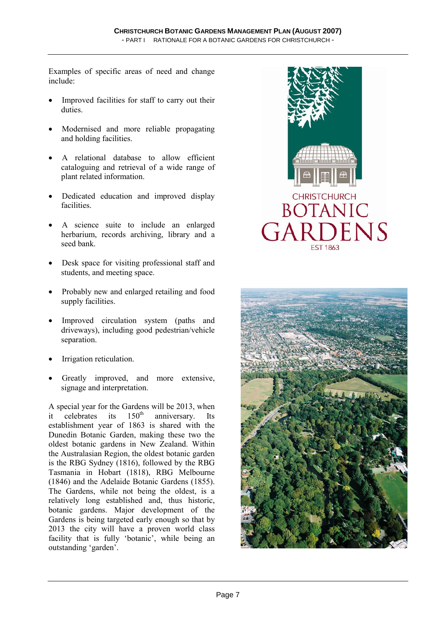Examples of specific areas of need and change include:

- Improved facilities for staff to carry out their duties.
- Modernised and more reliable propagating and holding facilities.
- A relational database to allow efficient cataloguing and retrieval of a wide range of plant related information.
- Dedicated education and improved display facilities.
- A science suite to include an enlarged herbarium, records archiving, library and a seed bank.
- Desk space for visiting professional staff and students, and meeting space.
- Probably new and enlarged retailing and food supply facilities.
- Improved circulation system (paths and driveways), including good pedestrian/vehicle separation.
- Irrigation reticulation.
- Greatly improved, and more extensive, signage and interpretation.

A special year for the Gardens will be 2013, when it celebrates its  $150<sup>th</sup>$  anniversary. Its establishment year of 1863 is shared with the Dunedin Botanic Garden, making these two the oldest botanic gardens in New Zealand. Within the Australasian Region, the oldest botanic garden is the RBG Sydney (1816), followed by the RBG Tasmania in Hobart (1818), RBG Melbourne (1846) and the Adelaide Botanic Gardens (1855). The Gardens, while not being the oldest, is a relatively long established and, thus historic, botanic gardens. Major development of the Gardens is being targeted early enough so that by 2013 the city will have a proven world class facility that is fully 'botanic', while being an outstanding 'garden'.